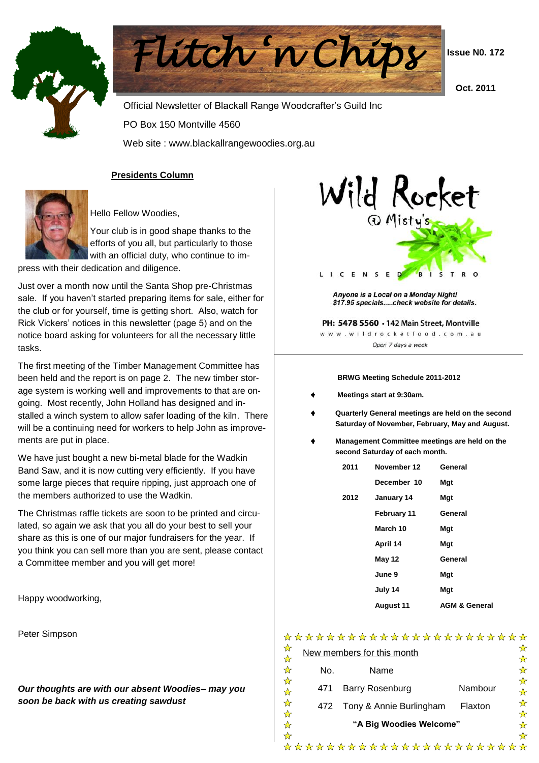



 **Issue N0. 172**

 **Oct. 2011**

 Official Newsletter of Blackall Range Woodcrafter's Guild Inc PO Box 150 Montville 4560 Web site : www.blackallrangewoodies.org.au

### **Presidents Column**



Hello Fellow Woodies,

Your club is in good shape thanks to the efforts of you all, but particularly to those with an official duty, who continue to im-

press with their dedication and diligence.

Just over a month now until the Santa Shop pre-Christmas sale. If you haven't started preparing items for sale, either for the club or for yourself, time is getting short. Also, watch for Rick Vickers' notices in this newsletter (page 5) and on the notice board asking for volunteers for all the necessary little tasks.

The first meeting of the Timber Management Committee has been held and the report is on page 2. The new timber storage system is working well and improvements to that are ongoing. Most recently, John Holland has designed and installed a winch system to allow safer loading of the kiln. There will be a continuing need for workers to help John as improvements are put in place.

We have just bought a new bi-metal blade for the Wadkin Band Saw, and it is now cutting very efficiently. If you have some large pieces that require ripping, just approach one of the members authorized to use the Wadkin.

The Christmas raffle tickets are soon to be printed and circulated, so again we ask that you all do your best to sell your share as this is one of our major fundraisers for the year. If you think you can sell more than you are sent, please contact a Committee member and you will get more!

Happy woodworking,

Peter Simpson

*Our thoughts are with our absent Woodies– may you soon be back with us creating sawdust*



Anyone is a Local on a Monday Night! \$17.95 specials.....check website for details.

PH: 5478 5560 . 142 Main Street, Montville www.wildrocketfood.com.au Open 7 days a week

#### **BRWG Meeting Schedule 2011-2012**

- **Meetings start at 9:30am.**
- **Quarterly General meetings are held on the second Saturday of November, February, May and August.**
- **Management Committee meetings are held on the second Saturday of each month.**

| 2011 | November 12        | General                  |
|------|--------------------|--------------------------|
|      | December 10        | Mgt                      |
| 2012 | January 14         | Mqt                      |
|      | <b>February 11</b> | General                  |
|      | March 10           | Mgt                      |
|      | April 14           | Mgt                      |
|      | May 12             | General                  |
|      | June 9             | Mgt                      |
|      | July 14            | Mqt                      |
|      | <b>August 11</b>   | <b>AGM &amp; General</b> |

## \*\*\*\*\*\*\*\*\*\*\*\*\*\*\*\*\*\*\*\*\*\*\*

| New members for this month |                             |         |  |  |  |  |  |
|----------------------------|-----------------------------|---------|--|--|--|--|--|
| No.                        | Name                        |         |  |  |  |  |  |
| 471                        | Barry Rosenburg             | Nambour |  |  |  |  |  |
|                            | 472 Tony & Annie Burlingham | Flaxton |  |  |  |  |  |
|                            | "A Big Woodies Welcome"     |         |  |  |  |  |  |
|                            |                             |         |  |  |  |  |  |

\*\*\*\*\*\*\*\*\*\*\*\*\*\*\*\*\*\*\*\*\*\*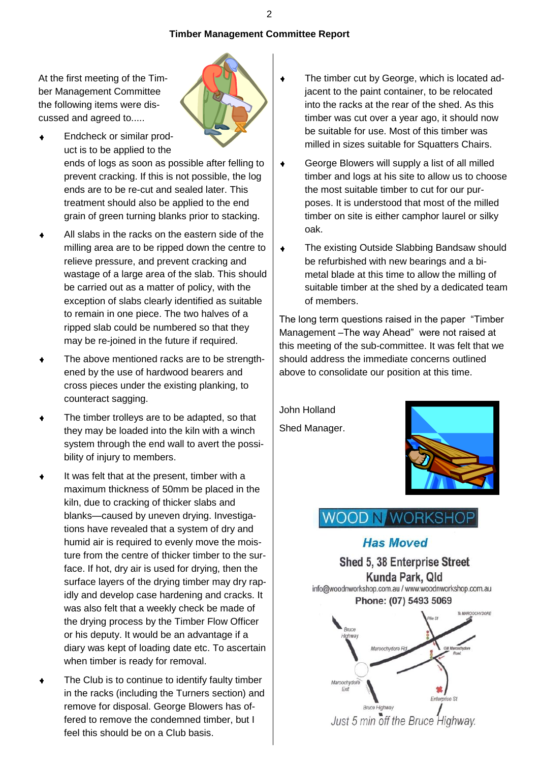## **Timber Management Committee Report**

At the first meeting of the Timber Management Committee the following items were discussed and agreed to.....



Endcheck or similar prod- $\bullet$ uct is to be applied to the ends of logs as soon as possible after felling to

prevent cracking. If this is not possible, the log ends are to be re-cut and sealed later. This treatment should also be applied to the end grain of green turning blanks prior to stacking.

- All slabs in the racks on the eastern side of the  $\ddot{\bullet}$ milling area are to be ripped down the centre to relieve pressure, and prevent cracking and wastage of a large area of the slab. This should be carried out as a matter of policy, with the exception of slabs clearly identified as suitable to remain in one piece. The two halves of a ripped slab could be numbered so that they may be re-joined in the future if required.
- The above mentioned racks are to be strength- $\ddot{\bullet}$ ened by the use of hardwood bearers and cross pieces under the existing planking, to counteract sagging.
- $\bullet$ The timber trolleys are to be adapted, so that they may be loaded into the kiln with a winch system through the end wall to avert the possibility of injury to members.
- $\ddot{\bullet}$ It was felt that at the present, timber with a maximum thickness of 50mm be placed in the kiln, due to cracking of thicker slabs and blanks—caused by uneven drying. Investigations have revealed that a system of dry and humid air is required to evenly move the moisture from the centre of thicker timber to the surface. If hot, dry air is used for drying, then the surface layers of the drying timber may dry rapidly and develop case hardening and cracks. It was also felt that a weekly check be made of the drying process by the Timber Flow Officer or his deputy. It would be an advantage if a diary was kept of loading date etc. To ascertain when timber is ready for removal.
- The Club is to continue to identify faulty timber  $\bullet$ in the racks (including the Turners section) and remove for disposal. George Blowers has offered to remove the condemned timber, but I feel this should be on a Club basis.
- The timber cut by George, which is located adjacent to the paint container, to be relocated into the racks at the rear of the shed. As this timber was cut over a year ago, it should now be suitable for use. Most of this timber was milled in sizes suitable for Squatters Chairs.
- George Blowers will supply a list of all milled  $\ddot{\bullet}$ timber and logs at his site to allow us to choose the most suitable timber to cut for our purposes. It is understood that most of the milled timber on site is either camphor laurel or silky oak.
- $\ddot{\bullet}$ The existing Outside Slabbing Bandsaw should be refurbished with new bearings and a bimetal blade at this time to allow the milling of suitable timber at the shed by a dedicated team of members.

The long term questions raised in the paper "Timber" Management –The way Ahead" were not raised at this meeting of the sub-committee. It was felt that we should address the immediate concerns outlined above to consolidate our position at this time.

John Holland Shed Manager.



# **WOOD N/WORKSHOP**

## **Has Moved**

Shed 5, 38 Enterprise Street Kunda Park, Qld info@woodnworkshop.com.au / www.woodnworkshop.com.au Phone: (07) 5493 5069

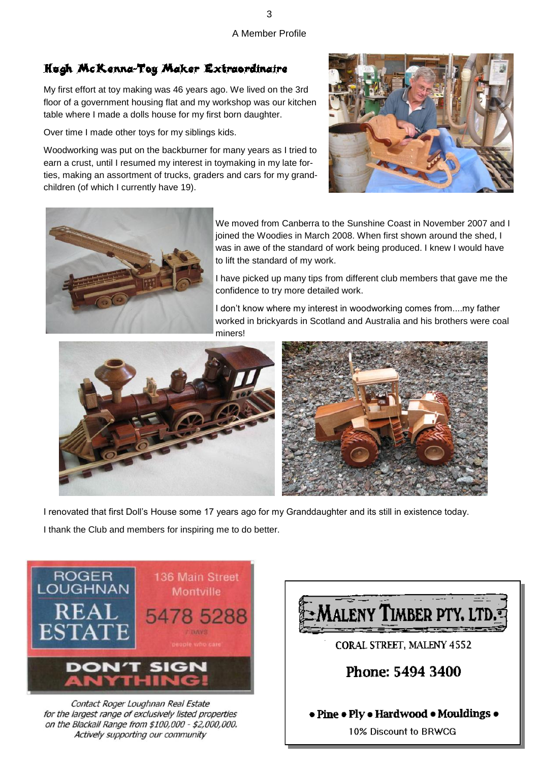A Member Profile

# Hugh McKenna-Toy Maker Extraordinaire

My first effort at toy making was 46 years ago. We lived on the 3rd floor of a government housing flat and my workshop was our kitchen table where I made a dolls house for my first born daughter.

Over time I made other toys for my siblings kids.

Woodworking was put on the backburner for many years as I tried to earn a crust, until I resumed my interest in toymaking in my late forties, making an assortment of trucks, graders and cars for my grandchildren (of which I currently have 19).





We moved from Canberra to the Sunshine Coast in November 2007 and I joined the Woodies in March 2008. When first shown around the shed. I was in awe of the standard of work being produced. I knew I would have to lift the standard of my work.

I have picked up many tips from different club members that gave me the confidence to try more detailed work.

I don't know where my interest in woodworking comes from....my father worked in brickyards in Scotland and Australia and his brothers were coal miners!



I renovated that first Doll's House some 17 years ago for my Granddaughter and its still in existence today. I thank the Club and members for inspiring me to do better.



Contact Roger Loughnan Real Estate for the largest range of exclusively listed properties on the Blackall Range from \$100,000 - \$2,000,000. Actively supporting our community

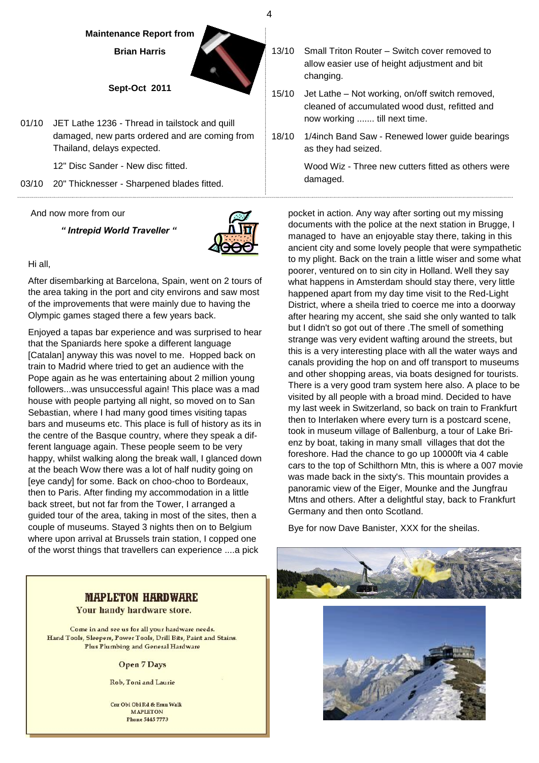#### **Maintenance Report from**

**Brian Harris**

#### **Sept-Oct 2011**

01/10 JET Lathe 1236 - Thread in tailstock and quill damaged, new parts ordered and are coming from Thailand, delays expected.

12" Disc Sander - New disc fitted.

03/10 20" Thicknesser - Sharpened blades fitted.

#### And now more from our

*" Intrepid World Traveller "*



Hi all,

After disembarking at Barcelona, Spain, went on 2 tours of the area taking in the port and city environs and saw most of the improvements that were mainly due to having the Olympic games staged there a few years back.

Enjoyed a tapas bar experience and was surprised to hear that the Spaniards here spoke a different language [Catalan] anyway this was novel to me. Hopped back on train to Madrid where tried to get an audience with the Pope again as he was entertaining about 2 million young followers...was unsuccessful again! This place was a mad house with people partying all night, so moved on to San Sebastian, where I had many good times visiting tapas bars and museums etc. This place is full of history as its in the centre of the Basque country, where they speak a different language again. These people seem to be very happy, whilst walking along the break wall, I glanced down at the beach Wow there was a lot of half nudity going on [eye candy] for some. Back on choo-choo to Bordeaux, then to Paris. After finding my accommodation in a little back street, but not far from the Tower, I arranged a guided tour of the area, taking in most of the sites, then a couple of museums. Stayed 3 nights then on to Belgium where upon arrival at Brussels train station, I copped one of the worst things that travellers can experience ....a pick

### **MAPLETON HARDWARE**

Your handy hardware store.

Come in and see us for all your hardware needs. Hand Tools, Sleepers, Power Tools, Drill Bits, Paint and Stains. Plus Plumbing and General Hardware

**Open 7 Days** 

Rob. Toni and Laurie

Cnr Obi Obi Rd & Emu Walk **MAPLETON Phone 5445 7773** 

- 13/10 Small Triton Router Switch cover removed to allow easier use of height adjustment and bit changing.
- 15/10 Jet Lathe Not working, on/off switch removed, cleaned of accumulated wood dust, refitted and now working ....... till next time.
- 18/10 1/4inch Band Saw Renewed lower guide bearings as they had seized.

Wood Wiz - Three new cutters fitted as others were damaged.

pocket in action. Any way after sorting out my missing documents with the police at the next station in Brugge, I managed to have an enjoyable stay there, taking in this ancient city and some lovely people that were sympathetic to my plight. Back on the train a little wiser and some what poorer, ventured on to sin city in Holland. Well they say what happens in Amsterdam should stay there, very little happened apart from my day time visit to the Red-Light District, where a sheila tried to coerce me into a doorway after hearing my accent, she said she only wanted to talk but I didn't so got out of there .The smell of something strange was very evident wafting around the streets, but this is a very interesting place with all the water ways and canals providing the hop on and off transport to museums and other shopping areas, via boats designed for tourists. There is a very good tram system here also. A place to be visited by all people with a broad mind. Decided to have my last week in Switzerland, so back on train to Frankfurt then to Interlaken where every turn is a postcard scene, took in museum village of Ballenburg, a tour of Lake Brienz by boat, taking in many small villages that dot the foreshore. Had the chance to go up 10000ft via 4 cable cars to the top of Schilthorn Mtn, this is where a 007 movie was made back in the sixty's. This mountain provides a panoramic view of the Eiger, Mounke and the Jungfrau Mtns and others. After a delightful stay, back to Frankfurt Germany and then onto Scotland.

Bye for now Dave Banister, XXX for the sheilas.





4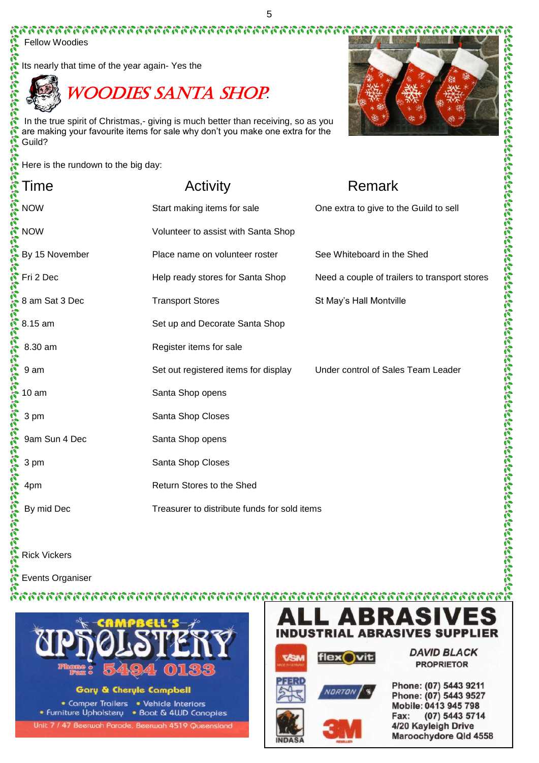

Woodies Santa Shop**.**

|                                     | <b>Fellow Woodies</b>                          |                                                                                                                                                                    |                                               |
|-------------------------------------|------------------------------------------------|--------------------------------------------------------------------------------------------------------------------------------------------------------------------|-----------------------------------------------|
|                                     | Its nearly that time of the year again-Yes the |                                                                                                                                                                    |                                               |
| きょうしゅうじゅうじょう                        |                                                | <b>WOODIES SANTA SHOP</b>                                                                                                                                          |                                               |
| $\tilde{\mathcal{E}}$               | Guild?                                         | In the true spirit of Christmas,- giving is much better than receiving, so as you<br>are making your favourite items for sale why don't you make one extra for the |                                               |
|                                     | Here is the rundown to the big day:            |                                                                                                                                                                    |                                               |
|                                     | Time                                           | Activity                                                                                                                                                           | Remark                                        |
|                                     | <b>NOW</b>                                     | Start making items for sale                                                                                                                                        | One extra to give to the Guild to sell        |
|                                     | <b>NOW</b>                                     | Volunteer to assist with Santa Shop                                                                                                                                |                                               |
| クリアリア アルシアル クリアル アルフィアル アルマン アルシャーク | By 15 November                                 | Place name on volunteer roster                                                                                                                                     | See Whiteboard in the Shed                    |
|                                     | Fri 2 Dec                                      | Help ready stores for Santa Shop                                                                                                                                   | Need a couple of trailers to transport stores |
|                                     | 8 am Sat 3 Dec                                 | <b>Transport Stores</b>                                                                                                                                            | St May's Hall Montville                       |
|                                     | 8.15 am                                        | Set up and Decorate Santa Shop                                                                                                                                     |                                               |
|                                     | 8.30 am                                        | Register items for sale                                                                                                                                            |                                               |
|                                     | 9 am                                           | Set out registered items for display                                                                                                                               | Under control of Sales Team Leader            |
|                                     | 10 <sub>am</sub>                               | Santa Shop opens                                                                                                                                                   |                                               |
|                                     | 3 pm                                           | Santa Shop Closes                                                                                                                                                  |                                               |
|                                     | 9am Sun 4 Dec                                  | Santa Shop opens                                                                                                                                                   |                                               |
|                                     | 3 pm                                           | Santa Shop Closes                                                                                                                                                  |                                               |
|                                     | 4pm                                            | Return Stores to the Shed                                                                                                                                          |                                               |
| <b>Santa California</b>             | By mid Dec                                     | Treasurer to distribute funds for sold items                                                                                                                       |                                               |
|                                     | <b>Dick Vickore</b>                            |                                                                                                                                                                    |                                               |

Rick Vickers

Ä

南京 Events Organiser



**Gary & Cheryle Campbell** 

• Comper Trailers • Vehicle Interiors • Furniture Upholstery • Boat & 4UJD Canopies Unit 7 / 47 Beerwah Parade, Beerwah 4519 Queensland



flex vit



**IND** 



**DAVID BLACK PROPRIETOR** 

Phone: (07) 5443 9211 Phone: (07) 5443 9527 Mobile: 0413 945 798 Fax: (07) 5443 5714 4/20 Kayleigh Drive Maroochydore Qld 4558